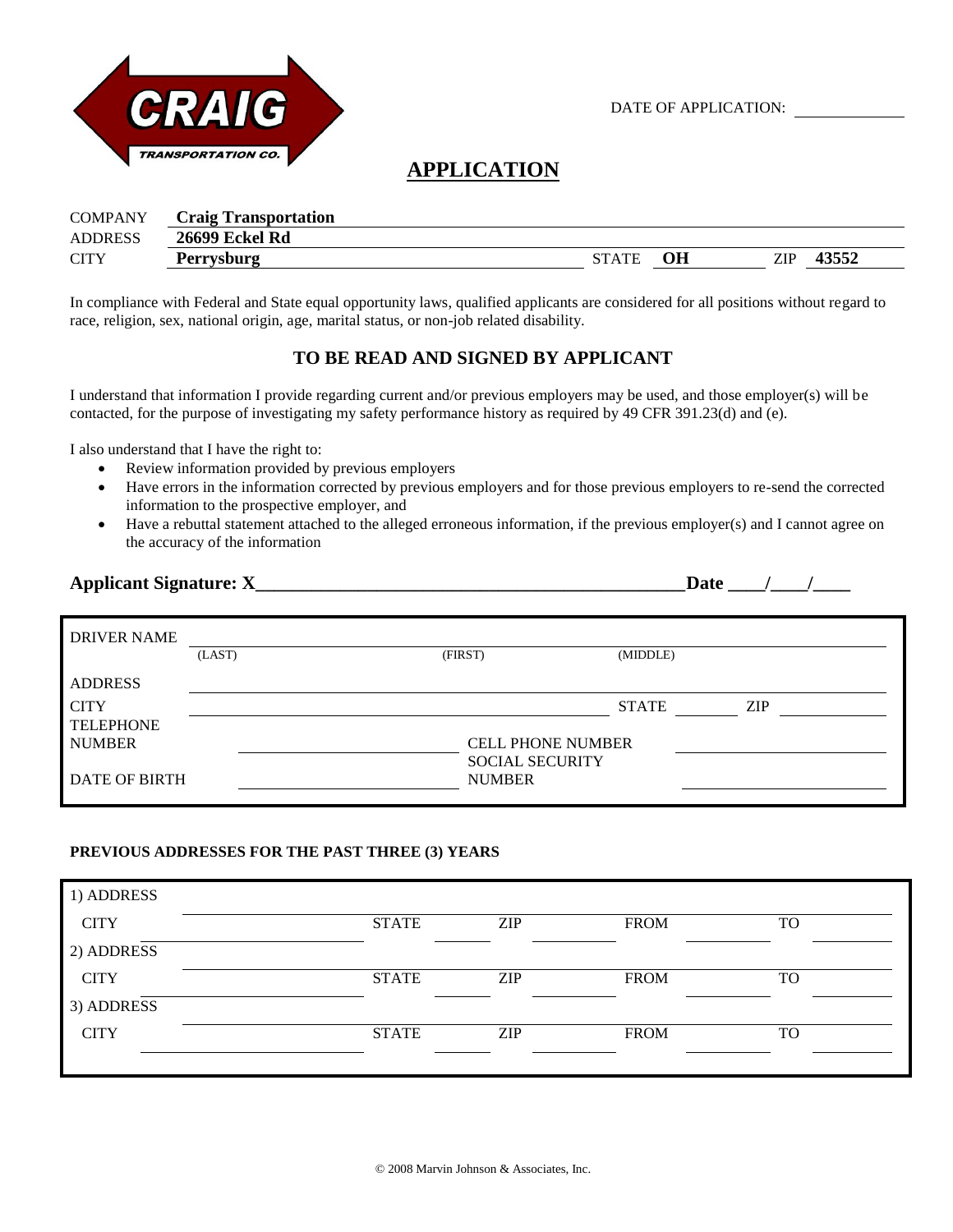

DATE OF APPLICATION:

**Date** / /

# **APPLICATION**

| <b>COMPANY</b> | <b>Craig Transportation</b> |              |    |     |       |
|----------------|-----------------------------|--------------|----|-----|-------|
| <b>ADDRESS</b> | <b>26699 Eckel Rd</b>       |              |    |     |       |
| <b>CITY</b>    | <b>Perrysburg</b>           | <b>STATE</b> | OН | ZIP | 43552 |

In compliance with Federal and State equal opportunity laws, qualified applicants are considered for all positions without regard to race, religion, sex, national origin, age, marital status, or non-job related disability.

## **TO BE READ AND SIGNED BY APPLICANT**

I understand that information I provide regarding current and/or previous employers may be used, and those employer(s) will be contacted, for the purpose of investigating my safety performance history as required by 49 CFR 391.23(d) and (e).

I also understand that I have the right to:

- Review information provided by previous employers
- Have errors in the information corrected by previous employers and for those previous employers to re-send the corrected information to the prospective employer, and
- Have a rebuttal statement attached to the alleged erroneous information, if the previous employer(s) and I cannot agree on the accuracy of the information

|  | <b>Applicant Signature: X</b> |  |
|--|-------------------------------|--|
|--|-------------------------------|--|

| <b>DRIVER NAME</b>   | (LAST) | (FIRST)                                 | (MIDDLE)     |            |
|----------------------|--------|-----------------------------------------|--------------|------------|
| <b>ADDRESS</b>       |        |                                         |              |            |
| <b>CITY</b>          |        |                                         | <b>STATE</b> | <b>ZIP</b> |
| <b>TELEPHONE</b>     |        |                                         |              |            |
| <b>NUMBER</b>        |        | <b>CELL PHONE NUMBER</b>                |              |            |
| <b>DATE OF BIRTH</b> |        | <b>SOCIAL SECURITY</b><br><b>NUMBER</b> |              |            |

#### **PREVIOUS ADDRESSES FOR THE PAST THREE (3) YEARS**

| 1) ADDRESS  |              |            |             |           |
|-------------|--------------|------------|-------------|-----------|
| <b>CITY</b> | <b>STATE</b> | <b>ZIP</b> | <b>FROM</b> | <b>TO</b> |
| 2) ADDRESS  |              |            |             |           |
| <b>CITY</b> | <b>STATE</b> | ZIP        | <b>FROM</b> | <b>TO</b> |
| 3) ADDRESS  |              |            |             |           |
| <b>CITY</b> | <b>STATE</b> | <b>ZIP</b> | <b>FROM</b> | <b>TO</b> |
|             |              |            |             |           |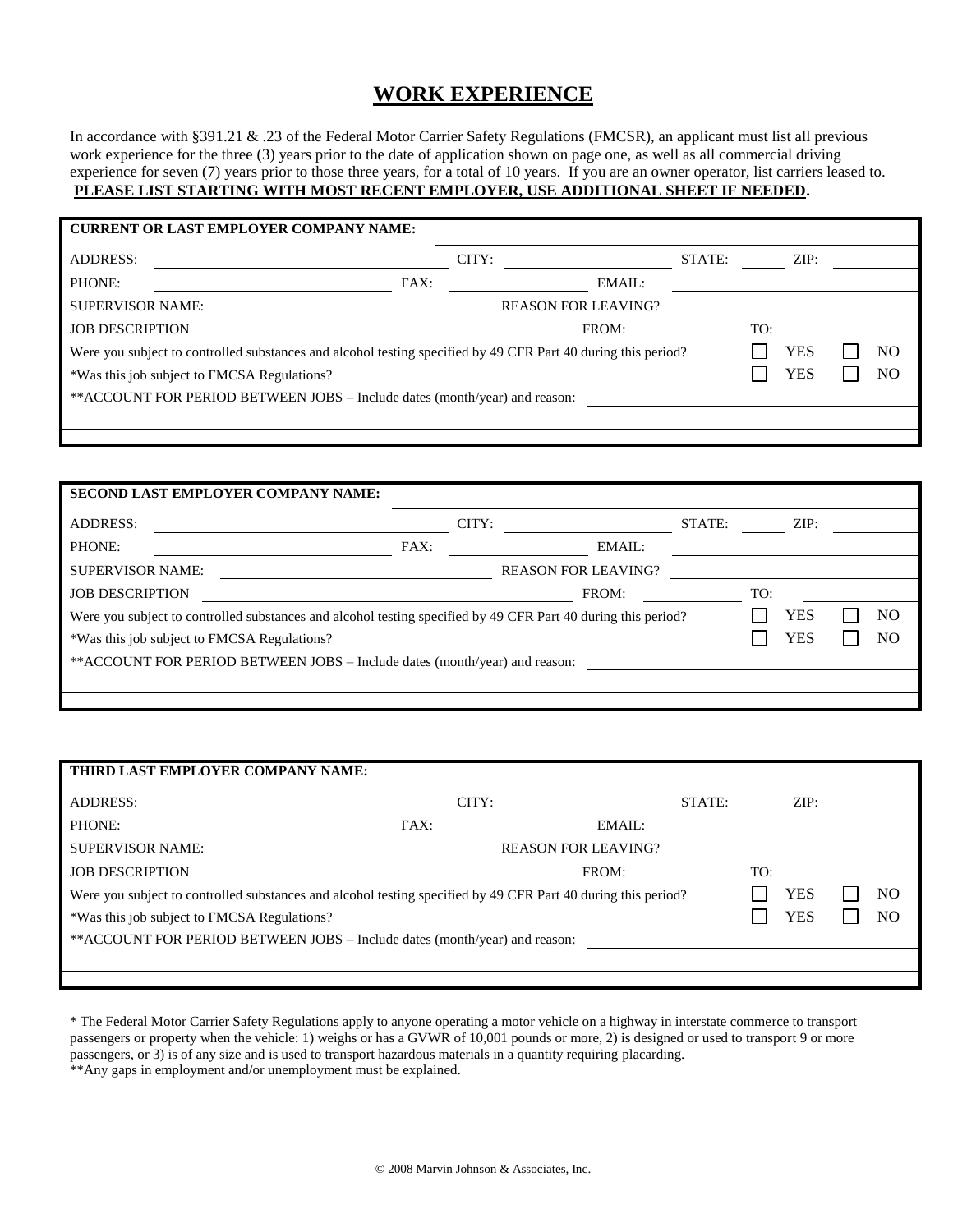# **WORK EXPERIENCE**

In accordance with §391.21 & .23 of the Federal Motor Carrier Safety Regulations (FMCSR), an applicant must list all previous work experience for the three (3) years prior to the date of application shown on page one, as well as all commercial driving experience for seven (7) years prior to those three years, for a total of 10 years. If you are an owner operator, list carriers leased to. **PLEASE LIST STARTING WITH MOST RECENT EMPLOYER, USE ADDITIONAL SHEET IF NEEDED.**

| <b>CURRENT OR LAST EMPLOYER COMPANY NAME:</b>                                                                 |      |       |                            |        |     |      |  |                |
|---------------------------------------------------------------------------------------------------------------|------|-------|----------------------------|--------|-----|------|--|----------------|
| ADDRESS:                                                                                                      |      | CITY: |                            | STATE: |     | ZIP: |  |                |
| PHONE:                                                                                                        | FAX: |       | EMAIL:                     |        |     |      |  |                |
| <b>SUPERVISOR NAME:</b>                                                                                       |      |       | <b>REASON FOR LEAVING?</b> |        |     |      |  |                |
| <b>JOB DESCRIPTION</b>                                                                                        |      |       | FROM:                      |        | TO: |      |  |                |
| Were you subject to controlled substances and alcohol testing specified by 49 CFR Part 40 during this period? |      |       |                            |        |     | YES  |  | N <sub>O</sub> |
| YES<br>N <sub>O</sub><br>*Was this job subject to FMCSA Regulations?                                          |      |       |                            |        |     |      |  |                |
| **ACCOUNT FOR PERIOD BETWEEN JOBS – Include dates (month/year) and reason:                                    |      |       |                            |        |     |      |  |                |
|                                                                                                               |      |       |                            |        |     |      |  |                |

| <b>SECOND LAST EMPLOYER COMPANY NAME:</b>                                                                     |      |       |                            |        |     |            |                |
|---------------------------------------------------------------------------------------------------------------|------|-------|----------------------------|--------|-----|------------|----------------|
| <b>ADDRESS:</b>                                                                                               |      | CITY: |                            | STATE: |     | ZIP:       |                |
| PHONE:                                                                                                        | FAX: |       | EMAIL:                     |        |     |            |                |
| <b>SUPERVISOR NAME:</b>                                                                                       |      |       | <b>REASON FOR LEAVING?</b> |        |     |            |                |
| <b>JOB DESCRIPTION</b>                                                                                        |      |       | FROM:                      |        | TO: |            |                |
| Were you subject to controlled substances and alcohol testing specified by 49 CFR Part 40 during this period? |      |       |                            |        |     | <b>YES</b> | N <sub>O</sub> |
| *Was this job subject to FMCSA Regulations?                                                                   |      |       |                            |        |     | YES        | N <sub>O</sub> |
| **ACCOUNT FOR PERIOD BETWEEN JOBS – Include dates (month/year) and reason:                                    |      |       |                            |        |     |            |                |
|                                                                                                               |      |       |                            |        |     |            |                |
|                                                                                                               |      |       |                            |        |     |            |                |

|                                                                            | THIRD LAST EMPLOYER COMPANY NAME:                                                                             |      |       |                            |        |     |      |    |
|----------------------------------------------------------------------------|---------------------------------------------------------------------------------------------------------------|------|-------|----------------------------|--------|-----|------|----|
| <b>ADDRESS:</b>                                                            |                                                                                                               |      | CITY: |                            | STATE: |     | ZIP: |    |
| PHONE:                                                                     |                                                                                                               | FAX: |       | EMAIL:                     |        |     |      |    |
| <b>SUPERVISOR NAME:</b>                                                    |                                                                                                               |      |       | <b>REASON FOR LEAVING?</b> |        |     |      |    |
| <b>JOB DESCRIPTION</b>                                                     |                                                                                                               |      |       | FROM:                      |        | TO: |      |    |
|                                                                            | Were you subject to controlled substances and alcohol testing specified by 49 CFR Part 40 during this period? |      |       |                            |        |     | YES  | NO |
|                                                                            | *Was this job subject to FMCSA Regulations?                                                                   |      |       |                            |        |     | YES  | NO |
| **ACCOUNT FOR PERIOD BETWEEN JOBS – Include dates (month/year) and reason: |                                                                                                               |      |       |                            |        |     |      |    |
|                                                                            |                                                                                                               |      |       |                            |        |     |      |    |
|                                                                            |                                                                                                               |      |       |                            |        |     |      |    |

\* The Federal Motor Carrier Safety Regulations apply to anyone operating a motor vehicle on a highway in interstate commerce to transport passengers or property when the vehicle: 1) weighs or has a GVWR of 10,001 pounds or more, 2) is designed or used to transport 9 or more passengers, or 3) is of any size and is used to transport hazardous materials in a quantity requiring placarding. \*\*Any gaps in employment and/or unemployment must be explained.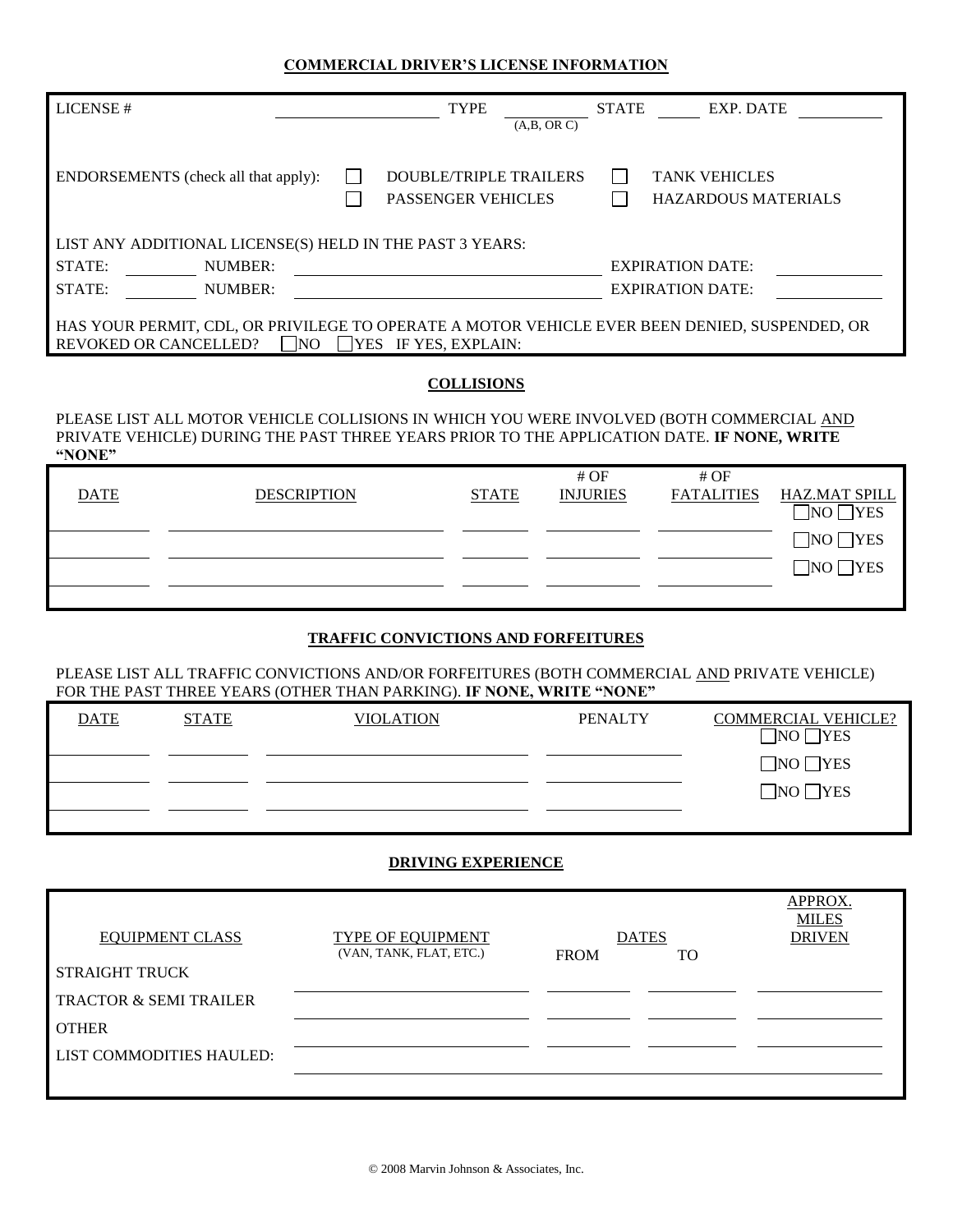#### **COMMERCIAL DRIVER'S LICENSE INFORMATION**

| LICENSE#                                                                                                                                                               | <b>TYPE</b><br>(A,B, OR C)                                 | <b>EXP. DATE</b><br><b>STATE</b>                   |  |  |  |  |
|------------------------------------------------------------------------------------------------------------------------------------------------------------------------|------------------------------------------------------------|----------------------------------------------------|--|--|--|--|
| ENDORSEMENTS (check all that apply):                                                                                                                                   | <b>DOUBLE/TRIPLE TRAILERS</b><br><b>PASSENGER VEHICLES</b> | <b>TANK VEHICLES</b><br><b>HAZARDOUS MATERIALS</b> |  |  |  |  |
| LIST ANY ADDITIONAL LICENSE(S) HELD IN THE PAST 3 YEARS:                                                                                                               |                                                            |                                                    |  |  |  |  |
| STATE:<br>NUMBER:                                                                                                                                                      |                                                            | <b>EXPIRATION DATE:</b>                            |  |  |  |  |
| STATE:<br>NUMBER:                                                                                                                                                      |                                                            | <b>EXPIRATION DATE:</b>                            |  |  |  |  |
| HAS YOUR PERMIT, CDL, OR PRIVILEGE TO OPERATE A MOTOR VEHICLE EVER BEEN DENIED, SUSPENDED, OR<br>$\Box$ NO<br>$ $ YES IF YES, EXPLAIN:<br><b>REVOKED OR CANCELLED?</b> |                                                            |                                                    |  |  |  |  |

#### **COLLISIONS**

PLEASE LIST ALL MOTOR VEHICLE COLLISIONS IN WHICH YOU WERE INVOLVED (BOTH COMMERCIAL AND PRIVATE VEHICLE) DURING THE PAST THREE YEARS PRIOR TO THE APPLICATION DATE. **IF NONE, WRITE "NONE"**

|      |                    |              | #OF             | #OF               |                      |
|------|--------------------|--------------|-----------------|-------------------|----------------------|
| DATE | <b>DESCRIPTION</b> | <b>STATE</b> | <b>INJURIES</b> | <b>FATALITIES</b> | <u>HAZ.MAT SPILL</u> |
|      |                    |              |                 |                   | $\neg$ NO $\neg$ YES |
|      |                    |              |                 |                   | $\neg$ NO $\neg$ YES |
|      |                    |              |                 |                   | $\neg$ NO $\neg$ YES |
|      |                    |              |                 |                   |                      |

#### **TRAFFIC CONVICTIONS AND FORFEITURES**

PLEASE LIST ALL TRAFFIC CONVICTIONS AND/OR FORFEITURES (BOTH COMMERCIAL AND PRIVATE VEHICLE) FOR THE PAST THREE YEARS (OTHER THAN PARKING). **IF NONE, WRITE "NONE"**

| <b>DATE</b> | <b>STATE</b> | <b>VIOLATION</b> | <b>PENALTY</b> | <b>COMMERCIAL VEHICLE?</b><br>$\neg$ NO $\neg$ YES |
|-------------|--------------|------------------|----------------|----------------------------------------------------|
|             |              |                  |                | $\neg$ NO $\neg$ YES                               |
|             |              |                  |                | $\neg$ NO $\neg$ YES                               |
|             |              |                  |                |                                                    |

#### **DRIVING EXPERIENCE**

| <b>EQUIPMENT CLASS</b>            | TYPE OF EQUIPMENT<br>(VAN, TANK, FLAT, ETC.) | <b>DATES</b><br>TO<br><b>FROM</b> | APPROX.<br><b>MILES</b><br><b>DRIVEN</b> |
|-----------------------------------|----------------------------------------------|-----------------------------------|------------------------------------------|
| <b>STRAIGHT TRUCK</b>             |                                              |                                   |                                          |
| <b>TRACTOR &amp; SEMI TRAILER</b> |                                              |                                   |                                          |
| <b>OTHER</b>                      |                                              |                                   |                                          |
| LIST COMMODITIES HAULED:          |                                              |                                   |                                          |
|                                   |                                              |                                   |                                          |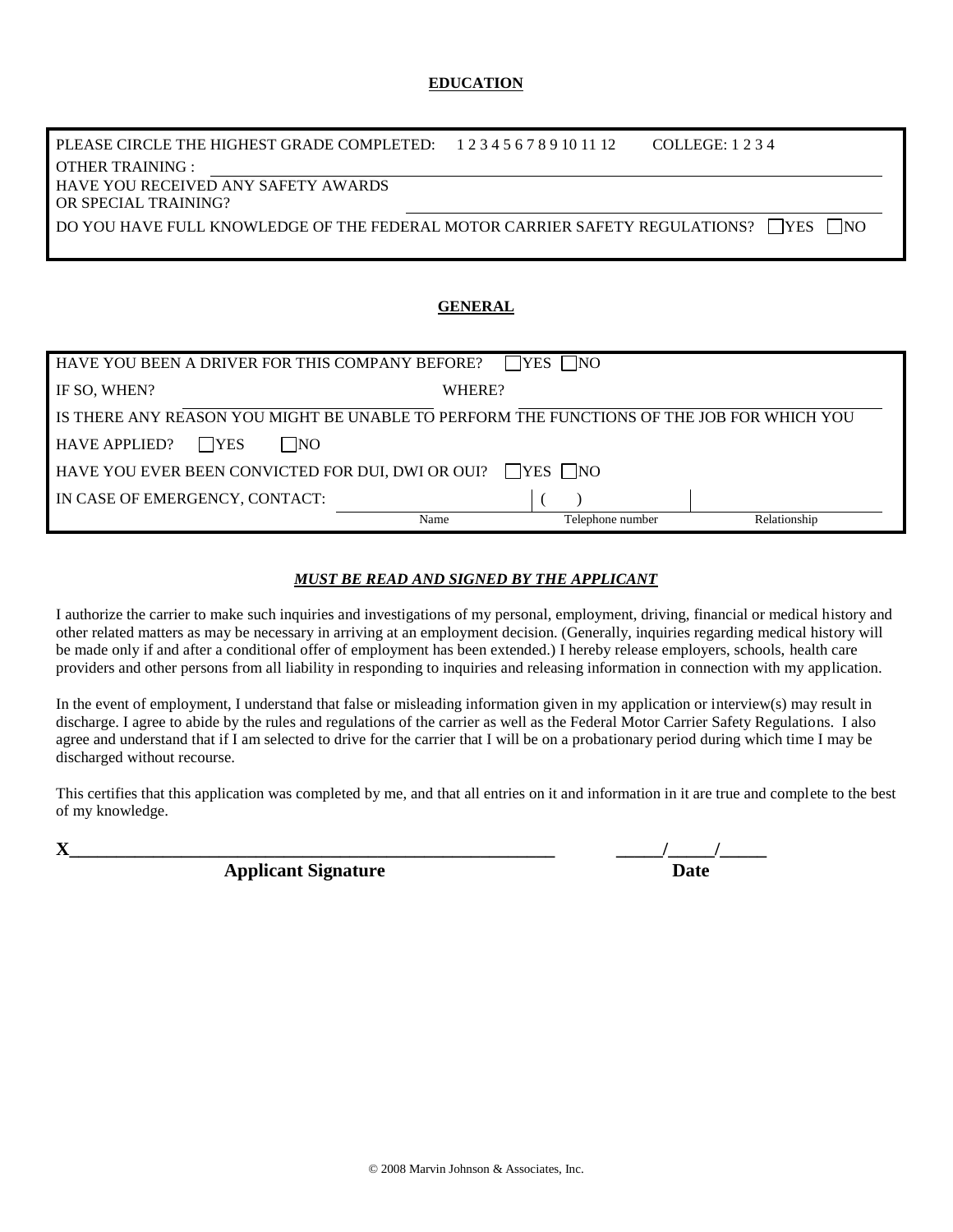#### **EDUCATION**

| PLEASE CIRCLE THE HIGHEST GRADE COMPLETED: $123456789101112$                                     | COLLEGE: 1 2 3 4 |
|--------------------------------------------------------------------------------------------------|------------------|
| OTHER TRAINING :                                                                                 |                  |
| <b>HAVE YOU RECEIVED ANY SAFETY AWARDS</b>                                                       |                  |
| OR SPECIAL TRAINING?                                                                             |                  |
| DO YOU HAVE FULL KNOWLEDGE OF THE FEDERAL MOTOR CARRIER SAFETY REGULATIONS? $\Box$ YES $\Box$ NO |                  |

#### **GENERAL**

| HAVE YOU BEEN A DRIVER FOR THIS COMPANY BEFORE?                                           |        | <b>TYES</b><br>N <sub>O</sub> |              |
|-------------------------------------------------------------------------------------------|--------|-------------------------------|--------------|
| IF SO, WHEN?                                                                              | WHERE? |                               |              |
| IS THERE ANY REASON YOU MIGHT BE UNABLE TO PERFORM THE FUNCTIONS OF THE JOB FOR WHICH YOU |        |                               |              |
| <b>NO</b><br><b>HAVE APPLIED?</b><br><b>SEX</b>                                           |        |                               |              |
| HAVE YOU EVER BEEN CONVICTED FOR DUI, DWI OR OUI?                                         |        | $\Box$ YES $\Box$ NO          |              |
| IN CASE OF EMERGENCY, CONTACT:                                                            |        |                               |              |
|                                                                                           | Name   | Telephone number              | Relationship |

#### *MUST BE READ AND SIGNED BY THE APPLICANT*

I authorize the carrier to make such inquiries and investigations of my personal, employment, driving, financial or medical history and other related matters as may be necessary in arriving at an employment decision. (Generally, inquiries regarding medical history will be made only if and after a conditional offer of employment has been extended.) I hereby release employers, schools, health care providers and other persons from all liability in responding to inquiries and releasing information in connection with my application.

In the event of employment, I understand that false or misleading information given in my application or interview(s) may result in discharge. I agree to abide by the rules and regulations of the carrier as well as the Federal Motor Carrier Safety Regulations. I also agree and understand that if I am selected to drive for the carrier that I will be on a probationary period during which time I may be discharged without recourse.

This certifies that this application was completed by me, and that all entries on it and information in it are true and complete to the best of my knowledge.

**Applicant Signature** 

| TT.<br>Δ                   |  |
|----------------------------|--|
| <b>Applicant Signature</b> |  |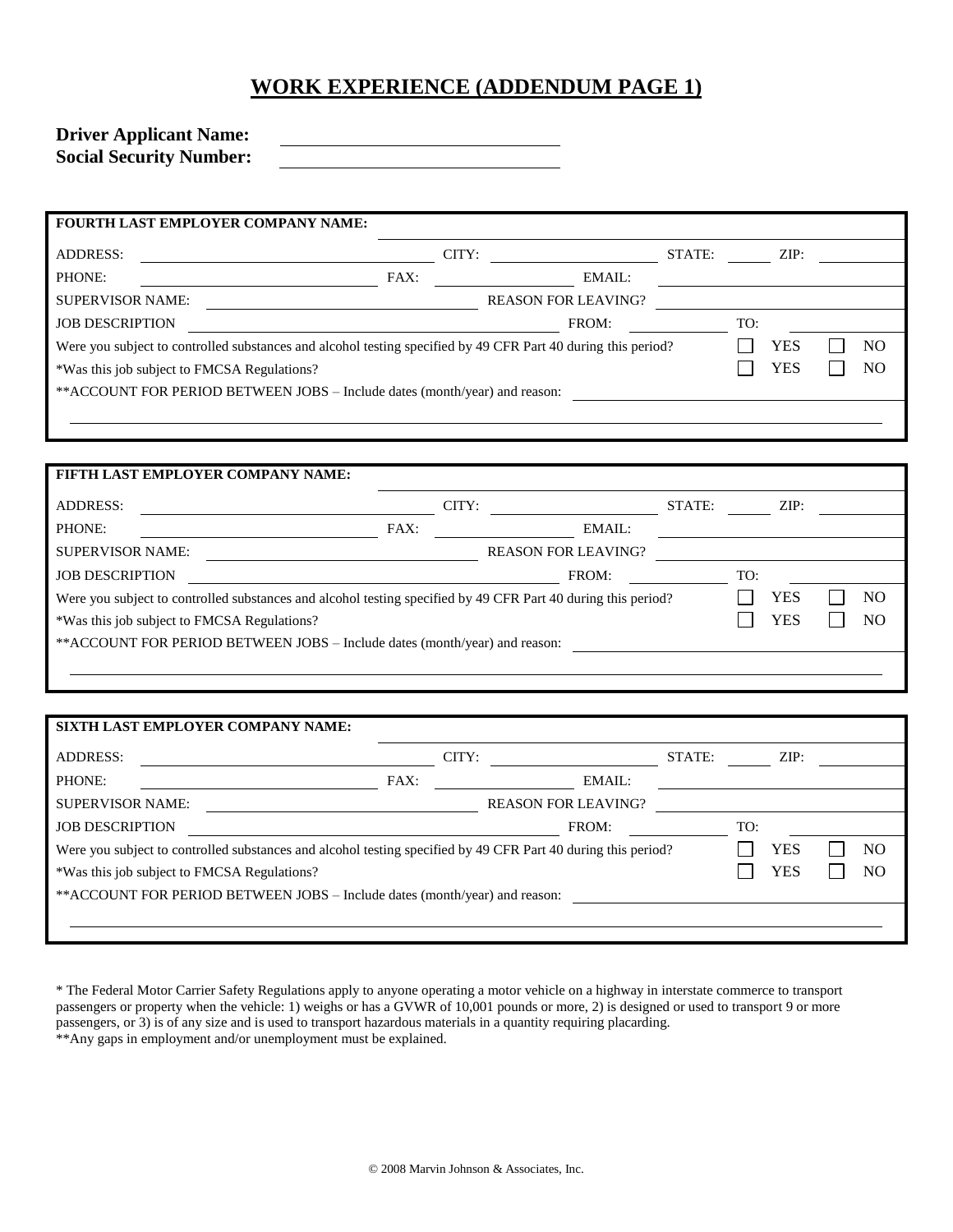# **WORK EXPERIENCE (ADDENDUM PAGE 1)**

| <b>Driver Applicant Name:</b>  |  |
|--------------------------------|--|
| <b>Social Security Number:</b> |  |

| <b>ADDRESS:</b>                                                                                               |      | CITY: |                            | STATE: |            | ZIP: |    |
|---------------------------------------------------------------------------------------------------------------|------|-------|----------------------------|--------|------------|------|----|
| PHONE:                                                                                                        | FAX: |       | EMAIL:                     |        |            |      |    |
| <b>SUPERVISOR NAME:</b>                                                                                       |      |       | <b>REASON FOR LEAVING?</b> |        |            |      |    |
| <b>JOB DESCRIPTION</b>                                                                                        |      |       | FROM:                      |        | TO:        |      |    |
| Were you subject to controlled substances and alcohol testing specified by 49 CFR Part 40 during this period? |      |       |                            |        | <b>YES</b> | NO   |    |
| *Was this job subject to FMCSA Regulations?                                                                   |      |       |                            |        |            | YES  | NO |
| **ACCOUNT FOR PERIOD BETWEEN JOBS – Include dates (month/year) and reason:                                    |      |       |                            |        |            |      |    |
|                                                                                                               |      |       |                            |        |            |      |    |
|                                                                                                               |      |       |                            |        |            |      |    |

| FIFTH LAST EMPLOYER COMPANY NAME:                                                                             |      |       |                            |        |     |      |                |
|---------------------------------------------------------------------------------------------------------------|------|-------|----------------------------|--------|-----|------|----------------|
| <b>ADDRESS:</b>                                                                                               |      | CITY: |                            | STATE: |     | ZIP: |                |
| PHONE:                                                                                                        | FAX: |       | EMAIL:                     |        |     |      |                |
| <b>SUPERVISOR NAME:</b>                                                                                       |      |       | <b>REASON FOR LEAVING?</b> |        |     |      |                |
| <b>JOB DESCRIPTION</b>                                                                                        |      |       | FROM:                      |        | TO: |      |                |
| Were you subject to controlled substances and alcohol testing specified by 49 CFR Part 40 during this period? |      |       |                            |        |     | YES  | N <sub>O</sub> |
| *Was this job subject to FMCSA Regulations?                                                                   |      |       |                            |        |     | YES  | N <sub>O</sub> |
| **ACCOUNT FOR PERIOD BETWEEN JOBS – Include dates (month/year) and reason:                                    |      |       |                            |        |     |      |                |
|                                                                                                               |      |       |                            |        |     |      |                |

| SIXTH LAST EMPLOYER COMPANY NAME:                                                                             |      |       |                            |        |      |                |
|---------------------------------------------------------------------------------------------------------------|------|-------|----------------------------|--------|------|----------------|
| <b>ADDRESS:</b>                                                                                               |      | CITY: |                            | STATE: | ZIP: |                |
| PHONE:                                                                                                        | FAX: |       | EMAIL:                     |        |      |                |
| <b>SUPERVISOR NAME:</b>                                                                                       |      |       | <b>REASON FOR LEAVING?</b> |        |      |                |
| <b>JOB DESCRIPTION</b>                                                                                        |      |       | FROM:                      |        | TO:  |                |
| Were you subject to controlled substances and alcohol testing specified by 49 CFR Part 40 during this period? |      |       |                            |        | YES  | NO             |
| *Was this job subject to FMCSA Regulations?                                                                   |      |       |                            |        | YES  | N <sub>O</sub> |
| **ACCOUNT FOR PERIOD BETWEEN JOBS – Include dates (month/year) and reason:                                    |      |       |                            |        |      |                |
|                                                                                                               |      |       |                            |        |      |                |
|                                                                                                               |      |       |                            |        |      |                |

| * The Federal Motor Carrier Safety Regulations apply to anyone operating a motor vehicle on a highway in interstate commerce to transport |
|-------------------------------------------------------------------------------------------------------------------------------------------|
| passengers or property when the vehicle: 1) weighs or has a GVWR of 10,001 pounds or more, 2) is designed or used to transport 9 or more  |
| passengers, or 3) is of any size and is used to transport hazardous materials in a quantity requiring placarding.                         |
| **Any gaps in employment and/or unemployment must be explained.                                                                           |